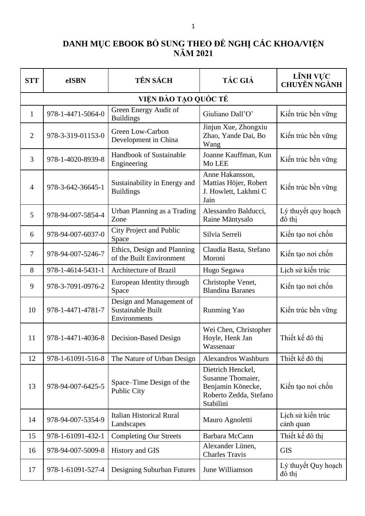## **DANH MỤC EBOOK BỔ SUNG THEO ĐỀ NGHỊ CÁC KHOA/VIỆN NĂM 2021**

| <b>STT</b>     | eISBN             | <b>TÊN SÁCH</b>                                               | <b>TÁC GIẢ</b>                                                                                     | LĨNH VỰC<br><b>CHUYÊN NGÀNH</b> |
|----------------|-------------------|---------------------------------------------------------------|----------------------------------------------------------------------------------------------------|---------------------------------|
|                |                   | VIỆN ĐÀO TẠO QUỐC TẾ                                          |                                                                                                    |                                 |
| 1              | 978-1-4471-5064-0 | Green Energy Audit of<br><b>Buildings</b>                     | Giuliano Dall'O'                                                                                   | Kiến trúc bền vững              |
| $\overline{2}$ | 978-3-319-01153-0 | Green Low-Carbon<br>Development in China                      | Jinjun Xue, Zhongxiu<br>Zhao, Yande Dai, Bo<br>Wang                                                | Kiến trúc bền vững              |
| 3              | 978-1-4020-8939-8 | <b>Handbook of Sustainable</b><br>Engineering                 | Joanne Kauffman, Kun<br>Mo LEE                                                                     | Kiến trúc bền vững              |
| $\overline{4}$ | 978-3-642-36645-1 | Sustainability in Energy and<br><b>Buildings</b>              | Anne Hakansson,<br>Mattias Höjer, Robert<br>J. Howlett, Lakhmi C<br>Jain                           | Kiến trúc bền vững              |
| 5              | 978-94-007-5854-4 | Urban Planning as a Trading<br>Zone                           | Alessandro Balducci,<br>Raine Mäntysalo                                                            | Lý thuyết quy hoạch<br>đô thị   |
| 6              | 978-94-007-6037-0 | City Project and Public<br>Space                              | Silvia Serreli                                                                                     | Kiến tao nơi chốn               |
| 7              | 978-94-007-5246-7 | Ethics, Design and Planning<br>of the Built Environment       | Claudia Basta, Stefano<br>Moroni                                                                   | Kiến tạo nơi chốn               |
| 8              | 978-1-4614-5431-1 | <b>Architecture of Brazil</b>                                 | Hugo Segawa                                                                                        | Lịch sử kiến trúc               |
| 9              | 978-3-7091-0976-2 | European Identity through<br>Space                            | Christophe Venet,<br><b>Blandina Baranes</b>                                                       | Kiến tạo nơi chốn               |
| 10             | 978-1-4471-4781-7 | Design and Management of<br>Sustainable Built<br>Environments | Runming Yao                                                                                        | Kiến trúc bền vững              |
| 11             | 978-1-4471-4036-8 | Decision-Based Design                                         | Wei Chen, Christopher<br>Hoyle, Henk Jan<br>Wassenaar                                              | Thiết kế đô thi                 |
| 12             | 978-1-61091-516-8 | The Nature of Urban Design                                    | <b>Alexandros Washburn</b>                                                                         | Thiết kế đô thi                 |
| 13             | 978-94-007-6425-5 | Space–Time Design of the<br><b>Public City</b>                | Dietrich Henckel,<br>Susanne Thomaier,<br>Benjamin Könecke,<br>Roberto Zedda, Stefano<br>Stabilini | Kiến tạo nơi chốn               |
| 14             | 978-94-007-5354-9 | <b>Italian Historical Rural</b><br>Landscapes                 | Mauro Agnoletti                                                                                    | Lịch sử kiến trúc<br>cảnh quan  |
| 15             | 978-1-61091-432-1 | <b>Completing Our Streets</b>                                 | Barbara McCann                                                                                     | Thiết kế đô thị                 |
| 16             | 978-94-007-5009-8 | History and GIS                                               | Alexander Lünen,<br><b>Charles Travis</b>                                                          | <b>GIS</b>                      |
| 17             | 978-1-61091-527-4 | Designing Suburban Futures                                    | June Williamson                                                                                    | Lý thuyết Quy hoạch<br>đô thị   |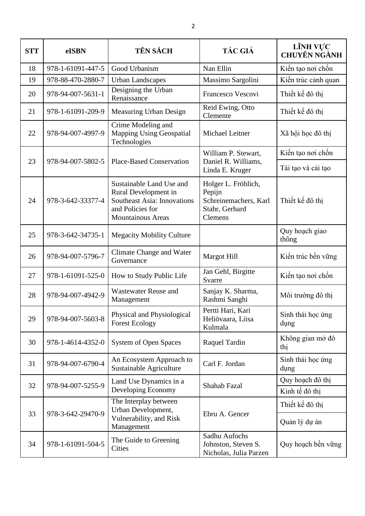| <b>STT</b> | eISBN             | <b>TÊN SÁCH</b>                                                                                                                        | <b>TÁC GIẢ</b>                                                                             | LĨNH VỰC<br><b>CHUYÊN NGÀNH</b> |
|------------|-------------------|----------------------------------------------------------------------------------------------------------------------------------------|--------------------------------------------------------------------------------------------|---------------------------------|
| 18         | 978-1-61091-447-5 | Good Urbanism                                                                                                                          | Nan Ellin                                                                                  | Kiến tạo nơi chốn               |
| 19         | 978-88-470-2880-7 | <b>Urban Landscapes</b>                                                                                                                | Massimo Sargolini                                                                          | Kiến trúc cảnh quan             |
| 20         | 978-94-007-5631-1 | Designing the Urban<br>Renaissance                                                                                                     | Francesco Vescovi                                                                          | Thiết kế đô thị                 |
| 21         | 978-1-61091-209-9 | Measuring Urban Design                                                                                                                 | Reid Ewing, Otto<br>Clemente                                                               | Thiết kế đô thị                 |
| 22         | 978-94-007-4997-9 | Crime Modeling and<br><b>Mapping Using Geospatial</b><br>Technologies                                                                  | Michael Leitner                                                                            | Xã hội học đô thị               |
|            |                   |                                                                                                                                        | William P. Stewart,                                                                        | Kiến tạo nơi chốn               |
| 23         | 978-94-007-5802-5 | <b>Place-Based Conservation</b>                                                                                                        | Daniel R. Williams,<br>Linda E. Kruger                                                     | Tái tạo và cải tạo              |
| 24         | 978-3-642-33377-4 | Sustainable Land Use and<br>Rural Development in<br><b>Southeast Asia: Innovations</b><br>and Policies for<br><b>Mountainous Areas</b> | Holger L. Fröhlich,<br>Pepijn<br>Schreinemachers, Karl<br>Stahr, Gerhard<br><b>Clemens</b> | Thiết kế đô thi                 |
| 25         | 978-3-642-34735-1 | <b>Megacity Mobility Culture</b>                                                                                                       |                                                                                            | Quy hoạch giao<br>thông         |
| 26         | 978-94-007-5796-7 | Climate Change and Water<br>Governance                                                                                                 | <b>Margot Hill</b>                                                                         | Kiến trúc bền vững              |
| 27         | 978-1-61091-525-0 | How to Study Public Life                                                                                                               | Jan Gehl, Birgitte<br>Svarre                                                               | Kiến tạo nơi chốn               |
| 28         | 978-94-007-4942-9 | <b>Wastewater Reuse and</b><br>Management                                                                                              | Sanjay K. Sharma,<br>Rashmi Sanghi                                                         | Môi trường đô thị               |
| 29         | 978-94-007-5603-8 | Physical and Physiological<br><b>Forest Ecology</b>                                                                                    | Pertti Hari, Kari<br>Heliövaara, Liisa<br>Kulmala                                          | Sinh thái học ứng<br>dụng       |
| 30         | 978-1-4614-4352-0 | <b>System of Open Spaces</b>                                                                                                           | Raquel Tardin                                                                              | Không gian mở đô<br>thị         |
| 31         | 978-94-007-6790-4 | An Ecosystem Approach to<br>Sustainable Agriculture                                                                                    | Carl F. Jordan                                                                             | Sinh thái học ứng<br>dụng       |
| 32         | 978-94-007-5255-9 | Land Use Dynamics in a                                                                                                                 | Shahab Fazal                                                                               | Quy hoạch đô thị                |
|            |                   | Developing Economy                                                                                                                     |                                                                                            | Kinh tế đô thị                  |
| 33         | 978-3-642-29470-9 | The Interplay between<br>Urban Development,                                                                                            | Ebru A. Gencer                                                                             | Thiết kế đô thị                 |
|            |                   | Vulnerability, and Risk<br>Management                                                                                                  |                                                                                            | Quản lý dự án                   |
| 34         | 978-1-61091-504-5 | The Guide to Greening<br>Cities                                                                                                        | Sadhu Aufochs<br>Johnston, Steven S.<br>Nicholas, Julia Parzen                             | Quy hoạch bền vững              |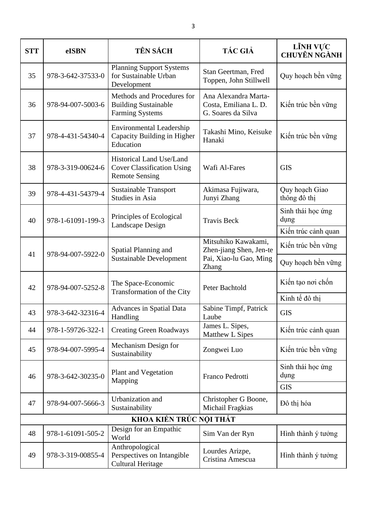| <b>STT</b> | eISBN             | TÊN SÁCH                                                                               | <b>TÁC GIẢ</b>                                                           | LĨNH VỰC<br><b>CHUYÊN NGÀNH</b> |
|------------|-------------------|----------------------------------------------------------------------------------------|--------------------------------------------------------------------------|---------------------------------|
| 35         | 978-3-642-37533-0 | <b>Planning Support Systems</b><br>for Sustainable Urban<br>Development                | Stan Geertman, Fred<br>Toppen, John Stillwell                            | Quy hoạch bền vững              |
| 36         | 978-94-007-5003-6 | Methods and Procedures for<br><b>Building Sustainable</b><br><b>Farming Systems</b>    | Ana Alexandra Marta-<br>Costa, Emiliana L. D.<br>G. Soares da Silva      | Kiến trúc bền vững              |
| 37         | 978-4-431-54340-4 | <b>Environmental Leadership</b><br>Capacity Building in Higher<br>Education            | Takashi Mino, Keisuke<br>Hanaki                                          | Kiến trúc bền vững              |
| 38         | 978-3-319-00624-6 | Historical Land Use/Land<br><b>Cover Classification Using</b><br><b>Remote Sensing</b> | Wafi Al-Fares                                                            | <b>GIS</b>                      |
| 39         | 978-4-431-54379-4 | <b>Sustainable Transport</b><br><b>Studies in Asia</b>                                 | Akimasa Fujiwara,<br>Junyi Zhang                                         | Quy hoạch Giao<br>thông đô thị  |
| 40         | 978-1-61091-199-3 | Principles of Ecological<br>Landscape Design                                           | <b>Travis Beck</b>                                                       | Sinh thái học ứng<br>dụng       |
|            |                   |                                                                                        |                                                                          | Kiến trúc cảnh quan             |
| 41         | 978-94-007-5922-0 | Spatial Planning and<br><b>Sustainable Development</b>                                 | Mitsuhiko Kawakami,<br>Zhen-jiang Shen, Jen-te<br>Pai, Xiao-lu Gao, Ming | Kiến trúc bền vững              |
|            |                   |                                                                                        | <b>Zhang</b>                                                             | Quy hoạch bền vững              |
| 42         | 978-94-007-5252-8 | The Space-Economic<br>Transformation of the City                                       | Peter Bachtold                                                           | Kiến tạo nơi chốn               |
|            |                   |                                                                                        |                                                                          | Kinh tế đô thị                  |
| 43         | 978-3-642-32316-4 | Advances in Spatial Data<br>Handling                                                   | Sabine Timpf, Patrick<br>Laube                                           | <b>GIS</b>                      |
| 44         | 978-1-59726-322-1 | <b>Creating Green Roadways</b>                                                         | James L. Sipes,<br>Matthew L Sipes                                       | Kiến trúc cảnh quan             |
| 45         | 978-94-007-5995-4 | Mechanism Design for<br>Sustainability                                                 | Zongwei Luo                                                              | Kiến trúc bền vững              |
| 46         | 978-3-642-30235-0 | <b>Plant and Vegetation</b>                                                            | Franco Pedrotti                                                          | Sinh thái học ứng<br>dụng       |
|            |                   | Mapping                                                                                |                                                                          | <b>GIS</b>                      |
| 47         | 978-94-007-5666-3 | Urbanization and<br>Sustainability                                                     | Christopher G Boone,<br>Michail Fragkias                                 | Đô thị hóa                      |
|            |                   | KHOA KIẾN TRỨC NỘI THẤT                                                                |                                                                          |                                 |
| 48         | 978-1-61091-505-2 | Design for an Empathic<br>World                                                        | Sim Van der Ryn                                                          | Hình thành ý tưởng              |
| 49         | 978-3-319-00855-4 | Anthropological<br>Perspectives on Intangible<br><b>Cultural Heritage</b>              | Lourdes Arizpe,<br>Cristina Amescua                                      | Hình thành ý tưởng              |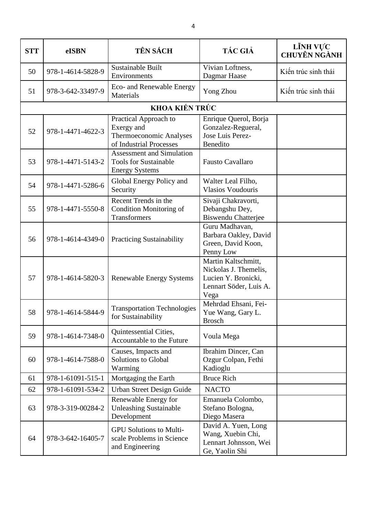| <b>STT</b> | eISBN             | <b>TÊN SÁCH</b>                                                                           | <b>TÁC GIẢ</b>                                                                                        | LĨNH VỰC<br><b>CHUYÊN NGÀNH</b> |
|------------|-------------------|-------------------------------------------------------------------------------------------|-------------------------------------------------------------------------------------------------------|---------------------------------|
| 50         | 978-1-4614-5828-9 | Sustainable Built<br>Environments                                                         | Vivian Loftness,<br>Dagmar Haase                                                                      | Kiến trúc sinh thái             |
| 51         | 978-3-642-33497-9 | Eco- and Renewable Energy<br>Materials                                                    | Yong Zhou                                                                                             | Kiến trúc sinh thái             |
|            |                   | KHOA KIẾN TRÚC                                                                            |                                                                                                       |                                 |
| 52         | 978-1-4471-4622-3 | Practical Approach to<br>Exergy and<br>Thermoeconomic Analyses<br>of Industrial Processes | Enrique Querol, Borja<br>Gonzalez-Regueral,<br>Jose Luis Perez-<br>Benedito                           |                                 |
| 53         | 978-1-4471-5143-2 | Assessment and Simulation<br><b>Tools for Sustainable</b><br><b>Energy Systems</b>        | <b>Fausto Cavallaro</b>                                                                               |                                 |
| 54         | 978-1-4471-5286-6 | Global Energy Policy and<br>Security                                                      | Walter Leal Filho,<br><b>Vlasios Voudouris</b>                                                        |                                 |
| 55         | 978-1-4471-5550-8 | Recent Trends in the<br><b>Condition Monitoring of</b><br>Transformers                    | Sivaji Chakravorti,<br>Debangshu Dey,<br><b>Biswendu Chatterjee</b>                                   |                                 |
| 56         | 978-1-4614-4349-0 | <b>Practicing Sustainability</b>                                                          | Guru Madhavan,<br>Barbara Oakley, David<br>Green, David Koon,<br>Penny Low                            |                                 |
| 57         | 978-1-4614-5820-3 | <b>Renewable Energy Systems</b>                                                           | Martin Kaltschmitt,<br>Nickolas J. Themelis,<br>Lucien Y. Bronicki,<br>Lennart Söder, Luis A.<br>Vega |                                 |
| 58         | 978-1-4614-5844-9 | <b>Transportation Technologies</b><br>for Sustainability                                  | Mehrdad Ehsani, Fei-<br>Yue Wang, Gary L.<br><b>Brosch</b>                                            |                                 |
| 59         | 978-1-4614-7348-0 | Quintessential Cities,<br>Accountable to the Future                                       | Voula Mega                                                                                            |                                 |
| 60         | 978-1-4614-7588-0 | Causes, Impacts and<br><b>Solutions to Global</b><br>Warming                              | Ibrahim Dincer, Can<br>Ozgur Colpan, Fethi<br>Kadioglu                                                |                                 |
| 61         | 978-1-61091-515-1 | Mortgaging the Earth                                                                      | <b>Bruce Rich</b>                                                                                     |                                 |
| 62         | 978-1-61091-534-2 | Urban Street Design Guide                                                                 | <b>NACTO</b>                                                                                          |                                 |
| 63         | 978-3-319-00284-2 | Renewable Energy for<br><b>Unleashing Sustainable</b><br>Development                      | Emanuela Colombo,<br>Stefano Bologna,<br>Diego Masera                                                 |                                 |
| 64         | 978-3-642-16405-7 | <b>GPU Solutions to Multi-</b><br>scale Problems in Science<br>and Engineering            | David A. Yuen, Long<br>Wang, Xuebin Chi,<br>Lennart Johnsson, Wei<br>Ge, Yaolin Shi                   |                                 |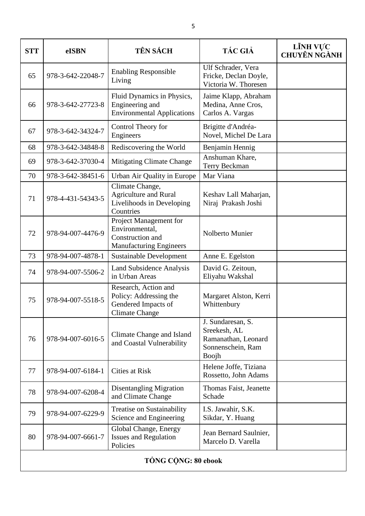| <b>STT</b> | eISBN               | TÊN SÁCH                                                                                       | <b>TÁC GIẢ</b>                                                                         | LĨNH VỰC<br><b>CHUYÊN NGÀNH</b> |  |  |
|------------|---------------------|------------------------------------------------------------------------------------------------|----------------------------------------------------------------------------------------|---------------------------------|--|--|
| 65         | 978-3-642-22048-7   | <b>Enabling Responsible</b><br>Living                                                          | Ulf Schrader, Vera<br>Fricke, Declan Doyle,<br>Victoria W. Thoresen                    |                                 |  |  |
| 66         | 978-3-642-27723-8   | Fluid Dynamics in Physics,<br>Engineering and<br><b>Environmental Applications</b>             | Jaime Klapp, Abraham<br>Medina, Anne Cros,<br>Carlos A. Vargas                         |                                 |  |  |
| 67         | 978-3-642-34324-7   | Control Theory for<br>Engineers                                                                | Brigitte d'Andréa-<br>Novel, Michel De Lara                                            |                                 |  |  |
| 68         | 978-3-642-34848-8   | Rediscovering the World                                                                        | Benjamin Hennig                                                                        |                                 |  |  |
| 69         | 978-3-642-37030-4   | Mitigating Climate Change                                                                      | Anshuman Khare,<br>Terry Beckman                                                       |                                 |  |  |
| 70         | 978-3-642-38451-6   | Urban Air Quality in Europe                                                                    | Mar Viana                                                                              |                                 |  |  |
| 71         | 978-4-431-54343-5   | Climate Change,<br><b>Agriculture and Rural</b><br>Livelihoods in Developing<br>Countries      | Keshav Lall Maharjan,<br>Niraj Prakash Joshi                                           |                                 |  |  |
| 72         | 978-94-007-4476-9   | Project Management for<br>Environmental,<br>Construction and<br><b>Manufacturing Engineers</b> | Nolberto Munier                                                                        |                                 |  |  |
| 73         | 978-94-007-4878-1   | Sustainable Development                                                                        | Anne E. Egelston                                                                       |                                 |  |  |
| 74         | 978-94-007-5506-2   | <b>Land Subsidence Analysis</b><br>in Urban Areas                                              | David G. Zeitoun,<br>Eliyahu Wakshal                                                   |                                 |  |  |
| 75         | 978-94-007-5518-5   | Research, Action and<br>Policy: Addressing the<br>Gendered Impacts of<br><b>Climate Change</b> | Margaret Alston, Kerri<br>Whittenbury                                                  |                                 |  |  |
| 76         | 978-94-007-6016-5   | Climate Change and Island<br>and Coastal Vulnerability                                         | J. Sundaresan, S.<br>Sreekesh, AL<br>Ramanathan, Leonard<br>Sonnenschein, Ram<br>Boojh |                                 |  |  |
| 77         | 978-94-007-6184-1   | <b>Cities at Risk</b>                                                                          | Helene Joffe, Tiziana<br>Rossetto, John Adams                                          |                                 |  |  |
| 78         | 978-94-007-6208-4   | Disentangling Migration<br>and Climate Change                                                  | Thomas Faist, Jeanette<br>Schade                                                       |                                 |  |  |
| 79         | 978-94-007-6229-9   | Treatise on Sustainability<br>Science and Engineering                                          | I.S. Jawahir, S.K.<br>Sikdar, Y. Huang                                                 |                                 |  |  |
| 80         | 978-94-007-6661-7   | Global Change, Energy<br><b>Issues and Regulation</b><br>Policies                              | Jean Bernard Saulnier,<br>Marcelo D. Varella                                           |                                 |  |  |
|            | TÔNG CỘNG: 80 ebook |                                                                                                |                                                                                        |                                 |  |  |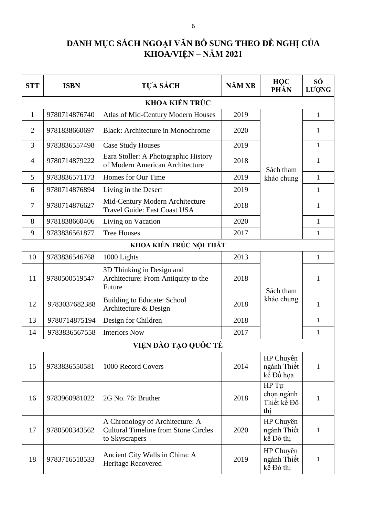## **DANH MỤC SÁCH NGOẠI VĂN BỔ SUNG THEO ĐỀ NGHỊ CỦA KHOA/VIỆN – NĂM 2021**

| <b>STT</b>     | <b>ISBN</b>             | <b>TỰA SÁCH</b>                                                                                  | NĂM XB | HQC<br>PHẦN                               | SÓ<br>LUONG  |  |  |
|----------------|-------------------------|--------------------------------------------------------------------------------------------------|--------|-------------------------------------------|--------------|--|--|
|                |                         | KHOA KIẾN TRỨC                                                                                   |        |                                           |              |  |  |
| $\mathbf{1}$   | 9780714876740           | Atlas of Mid-Century Modern Houses                                                               | 2019   |                                           | $\mathbf{1}$ |  |  |
| $\overline{2}$ | 9781838660697           | <b>Black: Architecture in Monochrome</b>                                                         | 2020   |                                           | 1            |  |  |
| 3              | 9783836557498           | <b>Case Study Houses</b>                                                                         | 2019   |                                           | $\mathbf{1}$ |  |  |
| $\overline{4}$ | 9780714879222           | Ezra Stoller: A Photographic History<br>of Modern American Architecture                          | 2018   | Sách tham<br>Sách tham<br>kế Đồ họa       | 1            |  |  |
| 5              | 9783836571173           | Homes for Our Time                                                                               | 2019   | khảo chung                                | $\mathbf{1}$ |  |  |
| 6              | 9780714876894           | Living in the Desert                                                                             | 2019   |                                           | $\mathbf{1}$ |  |  |
| 7              | 9780714876627           | Mid-Century Modern Architecture<br><b>Travel Guide: East Coast USA</b>                           | 2018   |                                           | 1            |  |  |
| 8              | 9781838660406           | Living on Vacation                                                                               | 2020   |                                           | $\mathbf{1}$ |  |  |
| 9              | 9783836561877           | <b>Tree Houses</b>                                                                               | 2017   |                                           | 1            |  |  |
|                | KHOA KIẾN TRÚC NỘI THẤT |                                                                                                  |        |                                           |              |  |  |
| 10             | 9783836546768           | 1000 Lights                                                                                      | 2013   |                                           | $\mathbf{1}$ |  |  |
| 11             | 9780500519547           | 3D Thinking in Design and<br>Architecture: From Antiquity to the<br>Future                       | 2018   |                                           | 1            |  |  |
| 12             | 9783037682388           | <b>Building to Educate: School</b><br>Architecture & Design                                      | 2018   | khảo chung                                | 1            |  |  |
| 13             | 9780714875194           | Design for Children                                                                              | 2018   |                                           | $\mathbf{1}$ |  |  |
| 14             | 9783836567558           | <b>Interiors Now</b>                                                                             | 2017   |                                           | 1            |  |  |
|                |                         | VIỆN ĐÀO TẠO QUỐC TẾ                                                                             |        |                                           |              |  |  |
| 15             | 9783836550581           | 1000 Record Covers                                                                               | 2014   | HP Chuyên<br>ngành Thiết                  | 1            |  |  |
| 16             | 9783960981022           | 2G No. 76: Bruther                                                                               | 2018   | HP Tu<br>chọn ngành<br>Thiết kế Đô<br>thi | 1            |  |  |
| 17             | 9780500343562           | A Chronology of Architecture: A<br><b>Cultural Timeline from Stone Circles</b><br>to Skyscrapers | 2020   | HP Chuyên<br>ngành Thiết<br>kể Đô thị     | $\mathbf{1}$ |  |  |
| 18             | 9783716518533           | Ancient City Walls in China: A<br>Heritage Recovered                                             | 2019   | HP Chuyên<br>ngành Thiết<br>kể Đô thị     | 1            |  |  |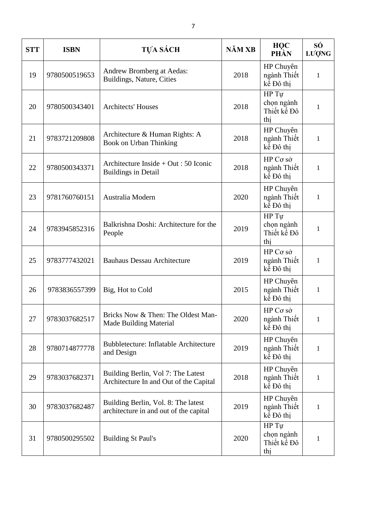| <b>STT</b> | <b>ISBN</b>   | TỰA SÁCH                                                                      | NĂM XB | <b>HOC</b><br>PHẦN                        | SÓ<br>LUQNG  |
|------------|---------------|-------------------------------------------------------------------------------|--------|-------------------------------------------|--------------|
| 19         | 9780500519653 | Andrew Bromberg at Aedas:<br>Buildings, Nature, Cities                        | 2018   | HP Chuyên<br>ngành Thiết<br>kể Đô thi     | $\mathbf{1}$ |
| 20         | 9780500343401 | <b>Architects' Houses</b>                                                     | 2018   | HP Tự<br>chọn ngành<br>Thiết kế Đô<br>thi | 1            |
| 21         | 9783721209808 | Architecture & Human Rights: A<br>Book on Urban Thinking                      | 2018   | HP Chuyên<br>ngành Thiết<br>kể Đô thi     | $\mathbf{1}$ |
| 22         | 9780500343371 | Architecture Inside + Out : 50 Iconic<br><b>Buildings in Detail</b>           | 2018   | HP Co sở<br>ngành Thiết<br>kể Đô thi      | $\mathbf{1}$ |
| 23         | 9781760760151 | Australia Modern                                                              | 2020   | HP Chuyên<br>ngành Thiết<br>kế Đô thi     | $\mathbf{1}$ |
| 24         | 9783945852316 | Balkrishna Doshi: Architecture for the<br>People                              | 2019   | HP Tu<br>chọn ngành<br>Thiết kế Đô<br>thi | $\mathbf{1}$ |
| 25         | 9783777432021 | <b>Bauhaus Dessau Architecture</b>                                            | 2019   | HP Co sở<br>ngành Thiết<br>kể Đô thị      | $\mathbf{1}$ |
| 26         | 9783836557399 | Big, Hot to Cold                                                              | 2015   | HP Chuyên<br>ngành Thiết<br>kế Đô thị     | $\mathbf{1}$ |
| 27         | 9783037682517 | Bricks Now & Then: The Oldest Man-<br><b>Made Building Material</b>           | 2020   | HP Co sở<br>ngành Thiết<br>kế Đô thị      | $\mathbf{1}$ |
| 28         | 9780714877778 | <b>Bubbletecture: Inflatable Architecture</b><br>and Design                   | 2019   | HP Chuyên<br>ngành Thiết<br>kế Đô thị     | $\mathbf{1}$ |
| 29         | 9783037682371 | Building Berlin, Vol 7: The Latest<br>Architecture In and Out of the Capital  | 2018   | HP Chuyên<br>ngành Thiết<br>kể Đô thi     | $\mathbf{1}$ |
| 30         | 9783037682487 | Building Berlin, Vol. 8: The latest<br>architecture in and out of the capital | 2019   | HP Chuyên<br>ngành Thiết<br>kể Đô thi     | $\mathbf{1}$ |
| 31         | 9780500295502 | <b>Building St Paul's</b>                                                     | 2020   | HP Tu<br>chọn ngành<br>Thiết kế Đô<br>thị | $\mathbf{1}$ |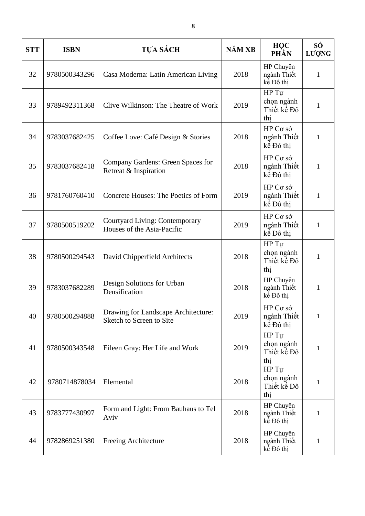| <b>STT</b> | <b>ISBN</b>   | TỰA SÁCH                                                            | NĂM XB | <b>HOC</b><br>PHẦN                        | SÓ<br>LUQNG  |
|------------|---------------|---------------------------------------------------------------------|--------|-------------------------------------------|--------------|
| 32         | 9780500343296 | Casa Moderna: Latin American Living                                 | 2018   | HP Chuyên<br>ngành Thiết<br>kể Đô thị     | 1            |
| 33         | 9789492311368 | Clive Wilkinson: The Theatre of Work                                | 2019   | HP Tự<br>chọn ngành<br>Thiết kế Đô<br>thi | 1            |
| 34         | 9783037682425 | Coffee Love: Café Design & Stories                                  | 2018   | HP Cσ sở<br>ngành Thiết<br>kể Đô thị      | $\mathbf{1}$ |
| 35         | 9783037682418 | Company Gardens: Green Spaces for<br>Retreat & Inspiration          | 2018   | HP Co sở<br>ngành Thiết<br>kể Đô thị      | 1            |
| 36         | 9781760760410 | Concrete Houses: The Poetics of Form                                | 2019   | HP Cσ sở<br>ngành Thiết<br>kể Đô thi      | 1            |
| 37         | 9780500519202 | <b>Courtyard Living: Contemporary</b><br>Houses of the Asia-Pacific | 2019   | HP Co sở<br>ngành Thiết<br>kể Đô thi      | 1            |
| 38         | 9780500294543 | David Chipperfield Architects                                       | 2018   | HP Tự<br>chọn ngành<br>Thiết kế Đô<br>thi | $\mathbf{1}$ |
| 39         | 9783037682289 | Design Solutions for Urban<br>Densification                         | 2018   | HP Chuyên<br>ngành Thiết<br>kể Đô thị     | 1            |
| 40         | 9780500294888 | Drawing for Landscape Architecture:<br>Sketch to Screen to Site     | 2019   | HP Cσ sở<br>ngành Thiết<br>kể Đô thị      | 1            |
| 41         | 9780500343548 | Eileen Gray: Her Life and Work                                      | 2019   | HP Tự<br>chọn ngành<br>Thiết kế Đô<br>thi | $\mathbf{1}$ |
| 42         | 9780714878034 | Elemental                                                           | 2018   | HP Tu<br>chọn ngành<br>Thiết kế Đô<br>thi | 1            |
| 43         | 9783777430997 | Form and Light: From Bauhaus to Tel<br>Aviv                         | 2018   | HP Chuyên<br>ngành Thiết<br>kể Đô thị     | $\mathbf{1}$ |
| 44         | 9782869251380 | Freeing Architecture                                                | 2018   | HP Chuyên<br>ngành Thiết<br>kế Đô thị     | $\mathbf{1}$ |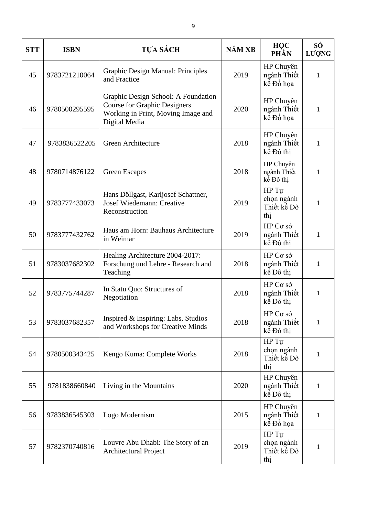| <b>STT</b> | <b>ISBN</b>   | <b>TỰA SÁCH</b>                                                                                                                   | NĂM XB | HQC<br>PHẦN                               | SÓ<br>LUONG  |
|------------|---------------|-----------------------------------------------------------------------------------------------------------------------------------|--------|-------------------------------------------|--------------|
| 45         | 9783721210064 | Graphic Design Manual: Principles<br>and Practice                                                                                 | 2019   | HP Chuyên<br>ngành Thiết<br>kế Đồ họa     | $\mathbf{1}$ |
| 46         | 9780500295595 | Graphic Design School: A Foundation<br><b>Course for Graphic Designers</b><br>Working in Print, Moving Image and<br>Digital Media | 2020   | HP Chuyên<br>ngành Thiết<br>kế Đồ họa     | $\mathbf{1}$ |
| 47         | 9783836522205 | Green Architecture                                                                                                                | 2018   | HP Chuyên<br>ngành Thiết<br>kể Đô thi     | 1            |
| 48         | 9780714876122 | <b>Green Escapes</b>                                                                                                              | 2018   | HP Chuyên<br>ngành Thiết<br>kể Đô thi     | $\mathbf{1}$ |
| 49         | 9783777433073 | Hans Döllgast, Karljosef Schattner,<br>Josef Wiedemann: Creative<br>Reconstruction                                                | 2019   | HP Tu<br>chọn ngành<br>Thiết kế Đô<br>thi | 1            |
| 50         | 9783777432762 | Haus am Horn: Bauhaus Architecture<br>in Weimar                                                                                   | 2019   | HP Cσ sở<br>ngành Thiết<br>kể Đô thị      | $\mathbf{1}$ |
| 51         | 9783037682302 | Healing Architecture 2004-2017:<br>Forschung und Lehre - Research and<br>Teaching                                                 | 2018   | HP Co sở<br>ngành Thiết<br>kể Đô thị      | $\mathbf{1}$ |
| 52         | 9783775744287 | In Statu Quo: Structures of<br>Negotiation                                                                                        | 2018   | HP Co sở<br>ngành Thiết<br>kế Đô thị      | $\mathbf{1}$ |
| 53         | 9783037682357 | Inspired & Inspiring: Labs, Studios<br>and Workshops for Creative Minds                                                           | 2018   | HP Cσ sở<br>ngành Thiết<br>kể Đô thị      | $\mathbf{1}$ |
| 54         | 9780500343425 | Kengo Kuma: Complete Works                                                                                                        | 2018   | HP Tu<br>chọn ngành<br>Thiết kế Đô<br>thi | $\mathbf{1}$ |
| 55         | 9781838660840 | Living in the Mountains                                                                                                           | 2020   | HP Chuyên<br>ngành Thiết<br>kể Đô thị     | $\mathbf{1}$ |
| 56         | 9783836545303 | Logo Modernism                                                                                                                    | 2015   | HP Chuyên<br>ngành Thiết<br>kế Đồ họa     | $\mathbf{1}$ |
| 57         | 9782370740816 | Louvre Abu Dhabi: The Story of an<br>Architectural Project                                                                        | 2019   | HP Tu<br>chọn ngành<br>Thiết kế Đô<br>thi | 1            |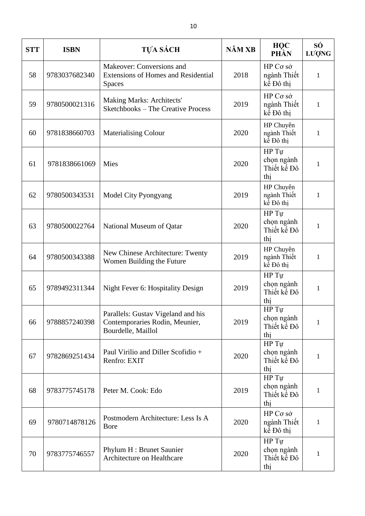| <b>STT</b> | <b>ISBN</b>   | <b>TỰA SÁCH</b>                                                                            | NĂM XB | <b>HOC</b><br>PHẦN                                       | SÓ<br>LUỌNG  |
|------------|---------------|--------------------------------------------------------------------------------------------|--------|----------------------------------------------------------|--------------|
| 58         | 9783037682340 | Makeover: Conversions and<br><b>Extensions of Homes and Residential</b><br><b>Spaces</b>   | 2018   | HP Cσ sở<br>ngành Thiết<br>kể Đô thi                     | $\mathbf{1}$ |
| 59         | 9780500021316 | <b>Making Marks: Architects'</b><br><b>Sketchbooks - The Creative Process</b>              | 2019   | HP Co sở<br>ngành Thiết<br>kể Đô thi                     | $\mathbf{1}$ |
| 60         | 9781838660703 | <b>Materialising Colour</b>                                                                | 2020   | HP Chuyên<br>ngành Thiết<br>kể Đô thị                    | $\mathbf{1}$ |
| 61         | 9781838661069 | Mies                                                                                       | 2020   | HP Tu<br>chọn ngành<br>Thiết kế Đô<br>thi                | $\mathbf{1}$ |
| 62         | 9780500343531 | Model City Pyongyang                                                                       | 2019   | HP Chuyên<br>ngành Thiết<br>kể Đô thi                    | 1            |
| 63         | 9780500022764 | National Museum of Qatar                                                                   | 2020   | HP Tự<br>chọn ngành<br>Thiết kế Đô<br>thi                | $\mathbf{1}$ |
| 64         | 9780500343388 | New Chinese Architecture: Twenty<br>Women Building the Future                              | 2019   | HP Chuyên<br>ngành Thiết<br>kể Đô thị                    | $\mathbf{1}$ |
| 65         | 9789492311344 | Night Fever 6: Hospitality Design                                                          | 2019   | HP Tự<br>chọn ngành<br>Thiết kế Đô<br>thi                | $\mathbf{1}$ |
| 66         | 9788857240398 | Parallels: Gustav Vigeland and his<br>Contemporaries Rodin, Meunier,<br>Bourdelle, Maillol | 2019   | HP Tu<br>chọn ngành<br>Thiết kế Đô<br>thi                | $\mathbf{1}$ |
| 67         | 9782869251434 | Paul Virilio and Diller Scofidio +<br>Renfro: EXIT                                         | 2020   | $HP$ $\overline{Tu}$<br>chọn ngành<br>Thiết kế Đô<br>thi | $\mathbf{1}$ |
| 68         | 9783775745178 | Peter M. Cook: Edo                                                                         | 2019   | HP Tu<br>chọn ngành<br>Thiết kế Đô<br>thi                | 1            |
| 69         | 9780714878126 | Postmodern Architecture: Less Is A<br><b>B</b> ore                                         | 2020   | HP Cσ sở<br>ngành Thiết<br>kể Đô thị                     | $\mathbf{1}$ |
| 70         | 9783775746557 | Phylum H : Brunet Saunier<br>Architecture on Healthcare                                    | 2020   | HP Tự<br>chọn ngành<br>Thiết kế Đô<br>thi                | 1            |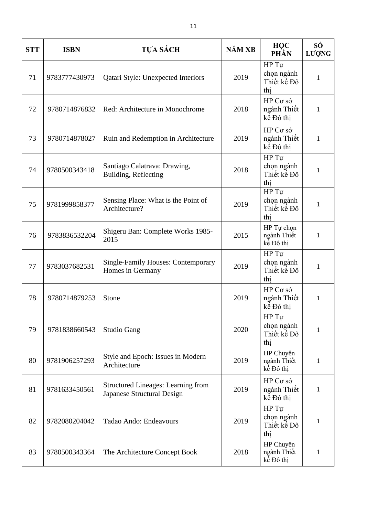| <b>STT</b> | <b>ISBN</b>   | TỰA SÁCH                                                                | NĂM XB | HQC<br>PHÀN                               | SÓ<br>LUONG  |
|------------|---------------|-------------------------------------------------------------------------|--------|-------------------------------------------|--------------|
| 71         | 9783777430973 | Qatari Style: Unexpected Interiors                                      | 2019   | HP Tu<br>chọn ngành<br>Thiết kế Đô<br>thi | 1            |
| 72         | 9780714876832 | Red: Architecture in Monochrome                                         | 2018   | HP Cσ sở<br>ngành Thiết<br>kế Đô thị      | $\mathbf{1}$ |
| 73         | 9780714878027 | Ruin and Redemption in Architecture                                     | 2019   | HP Cσ sở<br>ngành Thiết<br>kế Đô thị      | $\mathbf{1}$ |
| 74         | 9780500343418 | Santiago Calatrava: Drawing,<br>Building, Reflecting                    | 2018   | HP Tu<br>chọn ngành<br>Thiết kế Đô<br>thi | $\mathbf{1}$ |
| 75         | 9781999858377 | Sensing Place: What is the Point of<br>Architecture?                    | 2019   | HP Tu<br>chọn ngành<br>Thiết kế Đô<br>thi | 1            |
| 76         | 9783836532204 | Shigeru Ban: Complete Works 1985-<br>2015                               | 2015   | HP Tự chọn<br>ngành Thiết<br>kể Đô thi    | $\mathbf{1}$ |
| 77         | 9783037682531 | <b>Single-Family Houses: Contemporary</b><br>Homes in Germany           | 2019   | HP Tự<br>chọn ngành<br>Thiết kế Đô<br>thi | $\mathbf{1}$ |
| 78         | 9780714879253 | Stone                                                                   | 2019   | HP Cσ sở<br>ngành Thiết<br>kể Đô thi      | 1            |
| 79         | 9781838660543 | <b>Studio Gang</b>                                                      | 2020   | HP Tu<br>chọn ngành<br>Thiết kế Đô<br>thi | $\mathbf{1}$ |
| 80         | 9781906257293 | Style and Epoch: Issues in Modern<br>Architecture                       | 2019   | HP Chuyên<br>ngành Thiết<br>kể Đô thị     | 1            |
| 81         | 9781633450561 | <b>Structured Lineages: Learning from</b><br>Japanese Structural Design | 2019   | HP Co sở<br>ngành Thiết<br>kể Đô thi      | $\mathbf{1}$ |
| 82         | 9782080204042 | Tadao Ando: Endeavours                                                  | 2019   | HP Tu<br>chọn ngành<br>Thiết kế Đô<br>thi | 1            |
| 83         | 9780500343364 | The Architecture Concept Book                                           | 2018   | HP Chuyên<br>ngành Thiết<br>kể Đô thị     | $\mathbf{1}$ |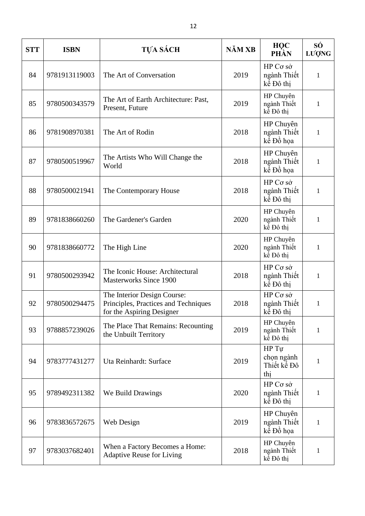| <b>STT</b> | <b>ISBN</b>   | <b>TỰA SÁCH</b>                                                                                  | NĂM XB | <b>HOC</b><br>PHẦN                        | SÓ<br>LUQNG  |
|------------|---------------|--------------------------------------------------------------------------------------------------|--------|-------------------------------------------|--------------|
| 84         | 9781913119003 | The Art of Conversation                                                                          | 2019   | HP Co sò<br>ngành Thiết<br>kể Đô thi      | $\mathbf{1}$ |
| 85         | 9780500343579 | The Art of Earth Architecture: Past,<br>Present, Future                                          | 2019   | HP Chuyên<br>ngành Thiết<br>kể Đô thị     | $\mathbf{1}$ |
| 86         | 9781908970381 | The Art of Rodin                                                                                 | 2018   | HP Chuyên<br>ngành Thiết<br>kế Đồ họa     | $\mathbf{1}$ |
| 87         | 9780500519967 | The Artists Who Will Change the<br>World                                                         | 2018   | HP Chuyên<br>ngành Thiết<br>kế Đồ họa     | $\mathbf{1}$ |
| 88         | 9780500021941 | The Contemporary House                                                                           | 2018   | HP Co sở<br>ngành Thiết<br>kể Đô thi      | $\mathbf{1}$ |
| 89         | 9781838660260 | The Gardener's Garden                                                                            | 2020   | HP Chuyên<br>ngành Thiết<br>kể Đô thi     | $\mathbf{1}$ |
| 90         | 9781838660772 | The High Line                                                                                    | 2020   | HP Chuyên<br>ngành Thiết<br>kể Đô thị     | 1            |
| 91         | 9780500293942 | The Iconic House: Architectural<br><b>Masterworks Since 1900</b>                                 | 2018   | HP Co sở<br>ngành Thiết<br>kể Đô thị      | $\mathbf{1}$ |
| 92         | 9780500294475 | The Interior Design Course:<br>Principles, Practices and Techniques<br>for the Aspiring Designer | 2018   | HP Cσ sở<br>ngành Thiết<br>kể Đô thi      | $\mathbf{1}$ |
| 93         | 9788857239026 | The Place That Remains: Recounting<br>the Unbuilt Territory                                      | 2019   | HP Chuyên<br>ngành Thiết<br>kể Đô thi     | $\mathbf{1}$ |
| 94         | 9783777431277 | Uta Reinhardt: Surface                                                                           | 2019   | HP Tu<br>chọn ngành<br>Thiết kế Đô<br>thi | 1            |
| 95         | 9789492311382 | We Build Drawings                                                                                | 2020   | HP Cσ sở<br>ngành Thiết<br>kể Đô thị      | $\mathbf{1}$ |
| 96         | 9783836572675 | Web Design                                                                                       | 2019   | HP Chuyên<br>ngành Thiết<br>kế Đồ họa     | $\mathbf{1}$ |
| 97         | 9783037682401 | When a Factory Becomes a Home:<br><b>Adaptive Reuse for Living</b>                               | 2018   | HP Chuyên<br>ngành Thiết<br>kế Đô thị     | 1            |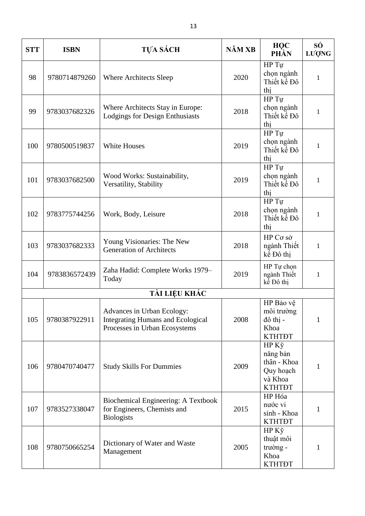| <b>STT</b>    | <b>ISBN</b>   | TỰA SÁCH                                                                                                | NĂM XB | <b>HOC</b><br>PHẦN                                                        | SÓ<br>LUQNG  |  |  |  |
|---------------|---------------|---------------------------------------------------------------------------------------------------------|--------|---------------------------------------------------------------------------|--------------|--|--|--|
| 98            | 9780714879260 | Where Architects Sleep                                                                                  | 2020   | HP Tu<br>chọn ngành<br>Thiết kế Đô<br>thi                                 | 1            |  |  |  |
| 99            | 9783037682326 | Where Architects Stay in Europe:<br><b>Lodgings for Design Enthusiasts</b>                              | 2018   | HP Tu<br>chọn ngành<br>Thiết kế Đô<br>thi                                 | 1            |  |  |  |
| 100           | 9780500519837 | <b>White Houses</b>                                                                                     | 2019   | HP Tu<br>chọn ngành<br>Thiết kế Đô<br>thi                                 | $\mathbf{1}$ |  |  |  |
| 101           | 9783037682500 | Wood Works: Sustainability,<br>Versatility, Stability                                                   | 2019   | HP Tu<br>chọn ngành<br>Thiết kế Đô<br>thị                                 | $\mathbf{1}$ |  |  |  |
| 102           | 9783775744256 | Work, Body, Leisure                                                                                     | 2018   | HP Tu<br>chọn ngành<br>Thiết kế Đô<br>thi                                 | 1            |  |  |  |
| 103           | 9783037682333 | Young Visionaries: The New<br><b>Generation of Architects</b>                                           | 2018   | HP Cσ sở<br>ngành Thiết<br>kể Đô thi                                      | $\mathbf{1}$ |  |  |  |
| 104           | 9783836572439 | Zaha Hadid: Complete Works 1979-<br>Today                                                               | 2019   | HP Tự chọn<br>ngành Thiết<br>kể Đô thi                                    | $\mathbf{1}$ |  |  |  |
| TÀI LIỆU KHÁC |               |                                                                                                         |        |                                                                           |              |  |  |  |
| 105           | 9780387922911 | Advances in Urban Ecology:<br><b>Integrating Humans and Ecological</b><br>Processes in Urban Ecosystems | 2008   | HP Bảo vệ<br>môi trường<br>đô thị -<br>Khoa<br><b>KTHTĐT</b>              | 1            |  |  |  |
| 106           | 9780470740477 | <b>Study Skills For Dummies</b>                                                                         | 2009   | HP Kỹ<br>năng bản<br>thân - Khoa<br>Quy hoach<br>và Khoa<br><b>KTHTĐT</b> | 1            |  |  |  |
| 107           | 9783527338047 | Biochemical Engineering: A Textbook<br>for Engineers, Chemists and<br><b>Biologists</b>                 | 2015   | HP Hóa<br>nước vi<br>sinh - Khoa<br><b>KTHTĐT</b>                         | 1            |  |  |  |
| 108           | 9780750665254 | Dictionary of Water and Waste<br>Management                                                             | 2005   | $HP K\tilde{y}$<br>thuật môi<br>trường -<br>Khoa<br><b>KTHTĐT</b>         | 1            |  |  |  |